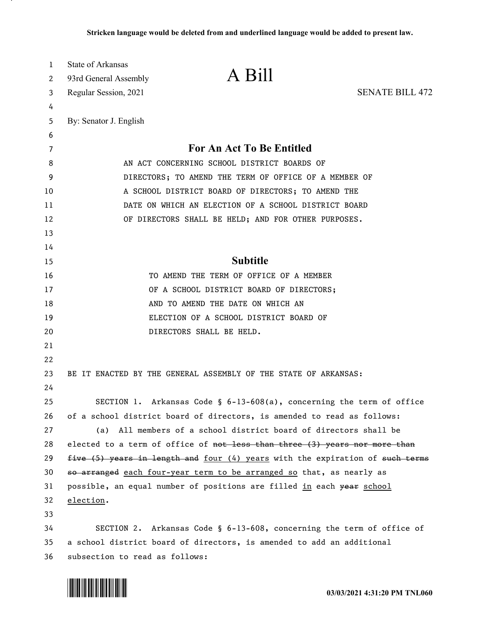| 1<br>2<br>3 | State of Arkansas<br>93rd General Assembly<br>Regular Session, 2021 | A Bill                                                                        | <b>SENATE BILL 472</b> |
|-------------|---------------------------------------------------------------------|-------------------------------------------------------------------------------|------------------------|
| 4           |                                                                     |                                                                               |                        |
| 5           | By: Senator J. English                                              |                                                                               |                        |
| 6           |                                                                     |                                                                               |                        |
| 7           |                                                                     | For An Act To Be Entitled                                                     |                        |
| 8           |                                                                     | AN ACT CONCERNING SCHOOL DISTRICT BOARDS OF                                   |                        |
| 9           |                                                                     | DIRECTORS; TO AMEND THE TERM OF OFFICE OF A MEMBER OF                         |                        |
| 10          |                                                                     | A SCHOOL DISTRICT BOARD OF DIRECTORS; TO AMEND THE                            |                        |
| 11          |                                                                     | DATE ON WHICH AN ELECTION OF A SCHOOL DISTRICT BOARD                          |                        |
| 12          |                                                                     | OF DIRECTORS SHALL BE HELD; AND FOR OTHER PURPOSES.                           |                        |
| 13          |                                                                     |                                                                               |                        |
| 14          |                                                                     |                                                                               |                        |
| 15          |                                                                     | <b>Subtitle</b>                                                               |                        |
| 16          |                                                                     | TO AMEND THE TERM OF OFFICE OF A MEMBER                                       |                        |
| 17          |                                                                     | OF A SCHOOL DISTRICT BOARD OF DIRECTORS;                                      |                        |
| 18          |                                                                     | AND TO AMEND THE DATE ON WHICH AN                                             |                        |
| 19          |                                                                     | ELECTION OF A SCHOOL DISTRICT BOARD OF                                        |                        |
| 20          |                                                                     | DIRECTORS SHALL BE HELD.                                                      |                        |
| 21          |                                                                     |                                                                               |                        |
| 22          |                                                                     |                                                                               |                        |
| 23          |                                                                     | BE IT ENACTED BY THE GENERAL ASSEMBLY OF THE STATE OF ARKANSAS:               |                        |
| 24          |                                                                     |                                                                               |                        |
| 25          |                                                                     | SECTION 1. Arkansas Code § $6-13-608(a)$ , concerning the term of office      |                        |
| 26          |                                                                     | of a school district board of directors, is amended to read as follows:       |                        |
| 27          |                                                                     | (a) All members of a school district board of directors shall be              |                        |
| 28          |                                                                     | elected to a term of office of not less than three (3) years nor more than    |                        |
| 29          |                                                                     | five (5) years in length and four (4) years with the expiration of such terms |                        |
| 30          |                                                                     | so arranged each four-year term to be arranged so that, as nearly as          |                        |
| 31          |                                                                     | possible, an equal number of positions are filled in each year school         |                        |
| 32          | election.                                                           |                                                                               |                        |
| 33          |                                                                     |                                                                               |                        |
| 34          |                                                                     | SECTION 2. Arkansas Code § 6-13-608, concerning the term of office of         |                        |
| 35          |                                                                     | a school district board of directors, is amended to add an additional         |                        |
| 36          | subsection to read as follows:                                      |                                                                               |                        |

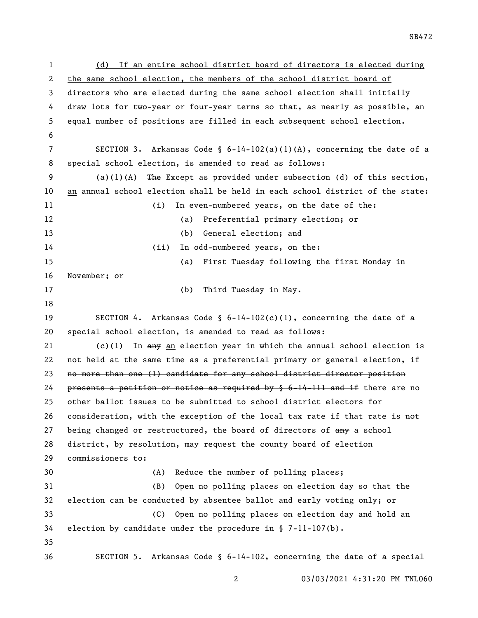| 1            | If an entire school district board of directors is elected during<br>(d)            |
|--------------|-------------------------------------------------------------------------------------|
| $\mathbf{2}$ | the same school election, the members of the school district board of               |
| 3            | directors who are elected during the same school election shall initially           |
| 4            | draw lots for two-year or four-year terms so that, as nearly as possible, an        |
| 5            | equal number of positions are filled in each subsequent school election.            |
| 6            |                                                                                     |
| 7            | SECTION 3. Arkansas Code § $6-14-102(a)(1)(A)$ , concerning the date of a           |
| 8            | special school election, is amended to read as follows:                             |
| 9            | The Except as provided under subsection (d) of this section,<br>(a)(1)(A)           |
| 10           | an annual school election shall be held in each school district of the state:       |
| 11           | In even-numbered years, on the date of the:<br>(i)                                  |
| 12           | Preferential primary election; or<br>(a)                                            |
| 13           | General election; and<br>(b)                                                        |
| 14           | In odd-numbered years, on the:<br>(ii)                                              |
| 15           | First Tuesday following the first Monday in<br>(a)                                  |
| 16           | November; or                                                                        |
| 17           | (b)<br>Third Tuesday in May.                                                        |
| 18           |                                                                                     |
| 19           | SECTION 4. Arkansas Code § $6-14-102(c)(1)$ , concerning the date of a              |
| 20           | special school election, is amended to read as follows:                             |
| 21           | $(c)(1)$ In $\frac{amy}{2}$ an election year in which the annual school election is |
| 22           | not held at the same time as a preferential primary or general election, if         |
| 23           | no more than one (1) candidate for any school district director position            |
| 24           | presents a petition or notice as required by § 6-14-111 and if there are no         |
| 25           | other ballot issues to be submitted to school district electors for                 |
| 26           | consideration, with the exception of the local tax rate if that rate is not         |
| 27           | being changed or restructured, the board of directors of any a school               |
| 28           | district, by resolution, may request the county board of election                   |
| 29           | commissioners to:                                                                   |
| 30           | Reduce the number of polling places;<br>(A)                                         |
| 31           | Open no polling places on election day so that the<br>(B)                           |
| 32           | election can be conducted by absentee ballot and early voting only; or              |
| 33           | Open no polling places on election day and hold an<br>(C)                           |
| 34           | election by candidate under the procedure in $\S$ 7-11-107(b).                      |
| 35           |                                                                                     |
| 36           | SECTION 5. Arkansas Code § 6-14-102, concerning the date of a special               |

03/03/2021 4:31:20 PM TNL060